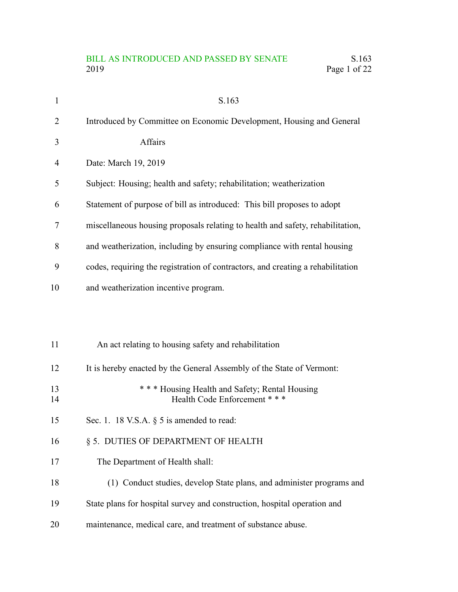# BILL AS INTRODUCED AND PASSED BY SENATE S.163<br>2019 Page 1 of 22 Page 1 of 22

| $\mathbf{1}$ | S.163                                                                           |
|--------------|---------------------------------------------------------------------------------|
| 2            | Introduced by Committee on Economic Development, Housing and General            |
| 3            | Affairs                                                                         |
| 4            | Date: March 19, 2019                                                            |
| 5            | Subject: Housing; health and safety; rehabilitation; weatherization             |
| 6            | Statement of purpose of bill as introduced: This bill proposes to adopt         |
| 7            | miscellaneous housing proposals relating to health and safety, rehabilitation,  |
| 8            | and weatherization, including by ensuring compliance with rental housing        |
| 9            | codes, requiring the registration of contractors, and creating a rehabilitation |
| 10           | and weatherization incentive program.                                           |
|              |                                                                                 |
|              |                                                                                 |
| 11           | An act relating to housing safety and rehabilitation                            |
| 12           | It is hereby enacted by the General Assembly of the State of Vermont:           |
| 13<br>14     | *** Housing Health and Safety; Rental Housing<br>Health Code Enforcement ***    |
| 15           | Sec. 1. 18 V.S.A. $\S$ 5 is amended to read:                                    |
| 16           | § 5. DUTIES OF DEPARTMENT OF HEALTH                                             |
| 17           | The Department of Health shall:                                                 |
| 18           | (1) Conduct studies, develop State plans, and administer programs and           |
| 19           | State plans for hospital survey and construction, hospital operation and        |
| 20           | maintenance, medical care, and treatment of substance abuse.                    |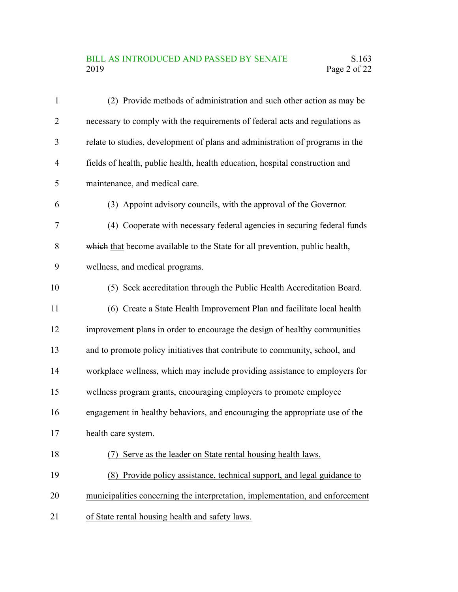#### BILL AS INTRODUCED AND PASSED BY SENATE S.163<br>2019 Page 2 of 22 Page 2 of 22

| $\mathbf{1}$   | (2) Provide methods of administration and such other action as may be         |
|----------------|-------------------------------------------------------------------------------|
| $\overline{2}$ | necessary to comply with the requirements of federal acts and regulations as  |
| 3              | relate to studies, development of plans and administration of programs in the |
| 4              | fields of health, public health, health education, hospital construction and  |
| 5              | maintenance, and medical care.                                                |
| 6              | (3) Appoint advisory councils, with the approval of the Governor.             |
| 7              | (4) Cooperate with necessary federal agencies in securing federal funds       |
| 8              | which that become available to the State for all prevention, public health,   |
| 9              | wellness, and medical programs.                                               |
| 10             | (5) Seek accreditation through the Public Health Accreditation Board.         |
| 11             | (6) Create a State Health Improvement Plan and facilitate local health        |
| 12             | improvement plans in order to encourage the design of healthy communities     |
| 13             | and to promote policy initiatives that contribute to community, school, and   |
| 14             | workplace wellness, which may include providing assistance to employers for   |
| 15             | wellness program grants, encouraging employers to promote employee            |
| 16             | engagement in healthy behaviors, and encouraging the appropriate use of the   |
| 17             | health care system.                                                           |
| 18             | Serve as the leader on State rental housing health laws.                      |
| 19             | Provide policy assistance, technical support, and legal guidance to<br>(8)    |
| 20             | municipalities concerning the interpretation, implementation, and enforcement |
| 21             | of State rental housing health and safety laws.                               |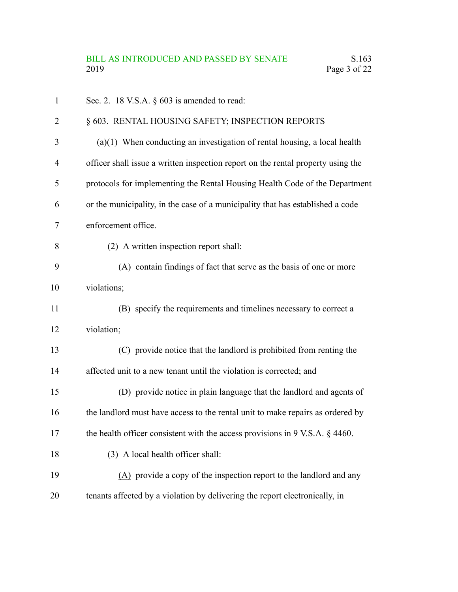| 1              | Sec. 2. 18 V.S.A. $\S$ 603 is amended to read:                                   |
|----------------|----------------------------------------------------------------------------------|
| $\overline{2}$ | § 603. RENTAL HOUSING SAFETY; INSPECTION REPORTS                                 |
| 3              | $(a)(1)$ When conducting an investigation of rental housing, a local health      |
| $\overline{4}$ | officer shall issue a written inspection report on the rental property using the |
| 5              | protocols for implementing the Rental Housing Health Code of the Department      |
| 6              | or the municipality, in the case of a municipality that has established a code   |
| 7              | enforcement office.                                                              |
| 8              | (2) A written inspection report shall:                                           |
| 9              | (A) contain findings of fact that serve as the basis of one or more              |
| 10             | violations;                                                                      |
| 11             | (B) specify the requirements and timelines necessary to correct a                |
| 12             | violation;                                                                       |
| 13             | (C) provide notice that the landlord is prohibited from renting the              |
| 14             | affected unit to a new tenant until the violation is corrected; and              |
| 15             | (D) provide notice in plain language that the landlord and agents of             |
| 16             | the landlord must have access to the rental unit to make repairs as ordered by   |
| 17             | the health officer consistent with the access provisions in 9 V.S.A. § 4460.     |
| 18             | (3) A local health officer shall:                                                |
| 19             | (A) provide a copy of the inspection report to the landlord and any              |
| 20             | tenants affected by a violation by delivering the report electronically, in      |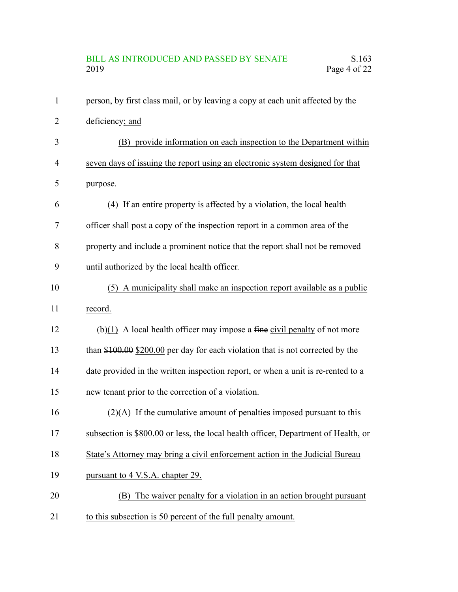# BILL AS INTRODUCED AND PASSED BY SENATE S.163<br>2019 Page 4 of 22 Page 4 of 22

| 1              | person, by first class mail, or by leaving a copy at each unit affected by the     |
|----------------|------------------------------------------------------------------------------------|
| $\overline{2}$ | deficiency; and                                                                    |
| 3              | (B) provide information on each inspection to the Department within                |
| 4              | seven days of issuing the report using an electronic system designed for that      |
| 5              | purpose.                                                                           |
| 6              | (4) If an entire property is affected by a violation, the local health             |
| 7              | officer shall post a copy of the inspection report in a common area of the         |
| 8              | property and include a prominent notice that the report shall not be removed       |
| 9              | until authorized by the local health officer.                                      |
| 10             | (5) A municipality shall make an inspection report available as a public           |
| 11             | record.                                                                            |
| 12             | $(b)(1)$ A local health officer may impose a fine civil penalty of not more        |
| 13             | than $$100.00$ $$200.00$ per day for each violation that is not corrected by the   |
| 14             | date provided in the written inspection report, or when a unit is re-rented to a   |
| 15             | new tenant prior to the correction of a violation.                                 |
| 16             | $(2)(A)$ If the cumulative amount of penalties imposed pursuant to this            |
| 17             | subsection is \$800.00 or less, the local health officer, Department of Health, or |
| 18             | State's Attorney may bring a civil enforcement action in the Judicial Bureau       |
| 19             | pursuant to 4 V.S.A. chapter 29.                                                   |
| 20             | (B) The waiver penalty for a violation in an action brought pursuant               |
| 21             | to this subsection is 50 percent of the full penalty amount.                       |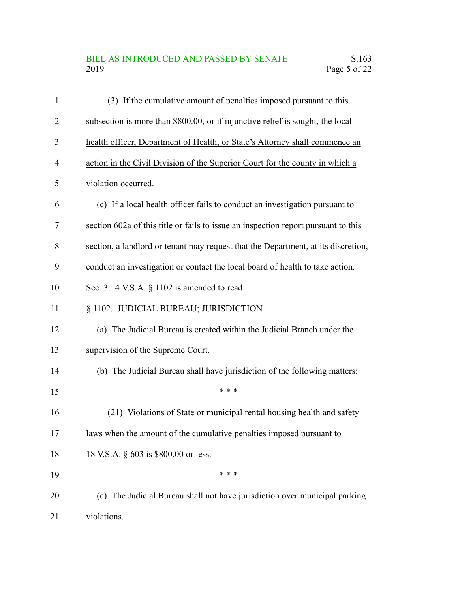#### BILL AS INTRODUCED AND PASSED BY SENATE S.163<br>2019 Page 5 of 22 Page 5 of 22

| 1              | (3) If the cumulative amount of penalties imposed pursuant to this                 |
|----------------|------------------------------------------------------------------------------------|
| $\overline{2}$ | subsection is more than \$800.00, or if injunctive relief is sought, the local     |
| 3              | health officer, Department of Health, or State's Attorney shall commence an        |
| $\overline{4}$ | action in the Civil Division of the Superior Court for the county in which a       |
| 5              | violation occurred.                                                                |
| 6              | (c) If a local health officer fails to conduct an investigation pursuant to        |
| 7              | section 602a of this title or fails to issue an inspection report pursuant to this |
| 8              | section, a landlord or tenant may request that the Department, at its discretion,  |
| 9              | conduct an investigation or contact the local board of health to take action.      |
| 10             | Sec. 3. $4$ V.S.A. $\S$ 1102 is amended to read:                                   |
| 11             | § 1102. JUDICIAL BUREAU; JURISDICTION                                              |
| 12             | (a) The Judicial Bureau is created within the Judicial Branch under the            |
| 13             | supervision of the Supreme Court.                                                  |
| 14             | (b) The Judicial Bureau shall have jurisdiction of the following matters:          |
| 15             | * * *                                                                              |
| 16             | (21) Violations of State or municipal rental housing health and safety             |
| 17             | laws when the amount of the cumulative penalties imposed pursuant to               |
| 18             | 18 V.S.A. § 603 is \$800.00 or less.                                               |
| 19             | * * *                                                                              |
| 20             | (c) The Judicial Bureau shall not have jurisdiction over municipal parking         |
| 21             | violations.                                                                        |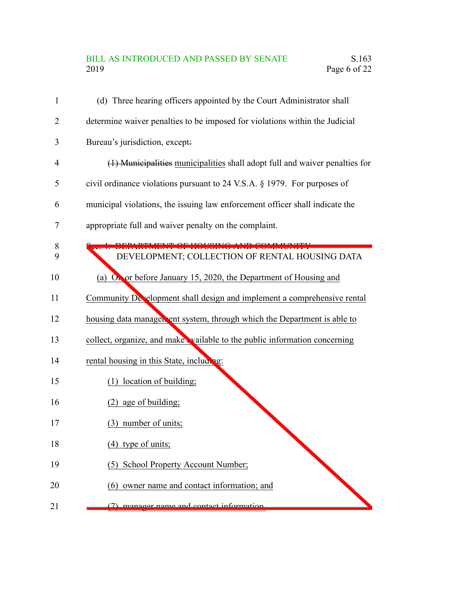## BILL AS INTRODUCED AND PASSED BY SENATE S.163<br>2019 Page 6 of 22 Page 6 of 22

| 1              | (d) Three hearing officers appointed by the Court Administrator shall        |
|----------------|------------------------------------------------------------------------------|
| 2              | determine waiver penalties to be imposed for violations within the Judicial  |
| 3              | Bureau's jurisdiction, except:                                               |
| $\overline{4}$ | (1) Municipalities municipalities shall adopt full and waiver penalties for  |
| 5              | civil ordinance violations pursuant to 24 V.S.A. § 1979. For purposes of     |
| 6              | municipal violations, the issuing law enforcement officer shall indicate the |
| 7              | appropriate full and waiver penalty on the complaint.                        |
|                |                                                                              |
| 8<br>9         | DEVELOPMENT; COLLECTION OF RENTAL HOUSING DATA                               |
| 10             | (a) $O_{\bullet}$ or before January 15, 2020, the Department of Housing and  |
| 11             | Community Development shall design and implement a comprehensive rental      |
| 12             | housing data manager ent system, through which the Department is able to     |
| 13             | collect, organize, and make vailable to the public information concerning    |
| 14             | rental housing in this State, including:                                     |
| 15             | (1) location of building;                                                    |
| 16             | $(2)$ age of building;                                                       |
| 17             | (3) number of units;                                                         |
| 18             | $(4)$ type of units;                                                         |
| 19             | (5) School Property Account Number;                                          |
| 20             | (6) owner name and contact information; and                                  |
| 21             | $(7)$ manager name and contact information                                   |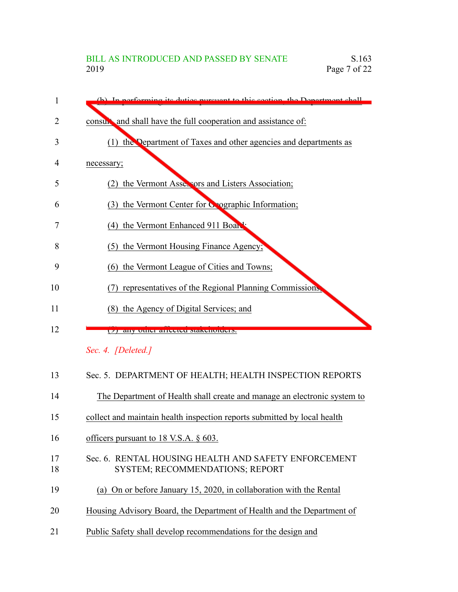| 1  | (b) In performing its duties pursuant to this section, the Department shall |
|----|-----------------------------------------------------------------------------|
| 2  | consult and shall have the full cooperation and assistance of:              |
| 3  | (1) the Department of Taxes and other agencies and departments as           |
| 4  | necessary;                                                                  |
| 5  | the Vermont Assessors and Listers Association;<br>(2)                       |
| 6  | the Vermont Center for Coographic Information;<br>(3)                       |
| 7  | (4) the Vermont Enhanced 911 Board                                          |
| 8  | the Vermont Housing Finance Agency;<br>(5)                                  |
| 9  | the Vermont League of Cities and Towns;<br>(6)                              |
| 10 | representatives of the Regional Planning Commissions,                       |
| 11 | the Agency of Digital Services; and<br>(8)                                  |
| 12 | (7) any other arrested standardists.                                        |
|    | Sec. 4. [Deleted.]                                                          |
| 13 | Sec. 5. DEPARTMENT OF HEALTH; HEALTH INSPECTION REPORTS                     |

| 14 |  |  |  |  | The Department of Health shall create and manage an electronic system to |  |
|----|--|--|--|--|--------------------------------------------------------------------------|--|
|    |  |  |  |  |                                                                          |  |

- collect and maintain health inspection reports submitted by local health 15
- officers pursuant to 18 V.S.A. § 603. 16
- Sec. 6. RENTAL HOUSING HEALTH AND SAFETY ENFORCEMENT SYSTEM; RECOMMENDATIONS; REPORT 17 18
- (a) On or before January 15, 2020, in collaboration with the Rental 19
- Housing Advisory Board, the Department of Health and the Department of 20
- Public Safety shall develop recommendations for the design and 21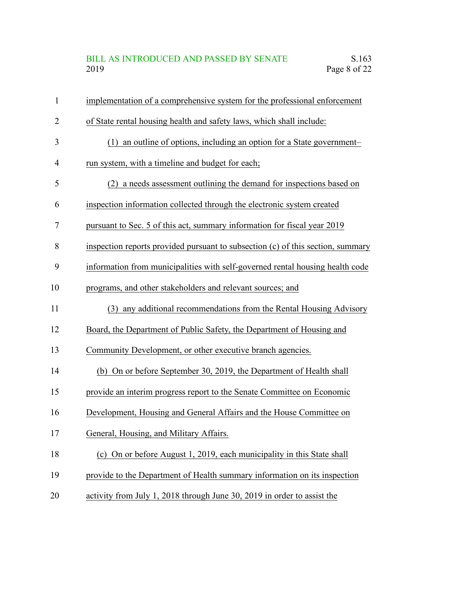## BILL AS INTRODUCED AND PASSED BY SENATE S.163<br>2019 Page 8 of 22 Page 8 of 22

| 1              | implementation of a comprehensive system for the professional enforcement       |
|----------------|---------------------------------------------------------------------------------|
| $\overline{2}$ | of State rental housing health and safety laws, which shall include:            |
| 3              | an outline of options, including an option for a State government-<br>(1)       |
| $\overline{4}$ | run system, with a timeline and budget for each;                                |
| 5              | (2) a needs assessment outlining the demand for inspections based on            |
| 6              | inspection information collected through the electronic system created          |
| 7              | pursuant to Sec. 5 of this act, summary information for fiscal year 2019        |
| 8              | inspection reports provided pursuant to subsection (c) of this section, summary |
| 9              | information from municipalities with self-governed rental housing health code   |
| 10             | programs, and other stakeholders and relevant sources; and                      |
| 11             | (3) any additional recommendations from the Rental Housing Advisory             |
| 12             | Board, the Department of Public Safety, the Department of Housing and           |
| 13             | Community Development, or other executive branch agencies.                      |
| 14             | (b) On or before September 30, 2019, the Department of Health shall             |
| 15             | provide an interim progress report to the Senate Committee on Economic          |
| 16             | Development, Housing and General Affairs and the House Committee on             |
| 17             | General, Housing, and Military Affairs.                                         |
| 18             | (c) On or before August 1, 2019, each municipality in this State shall          |
| 19             | provide to the Department of Health summary information on its inspection       |
| 20             | activity from July 1, 2018 through June 30, 2019 in order to assist the         |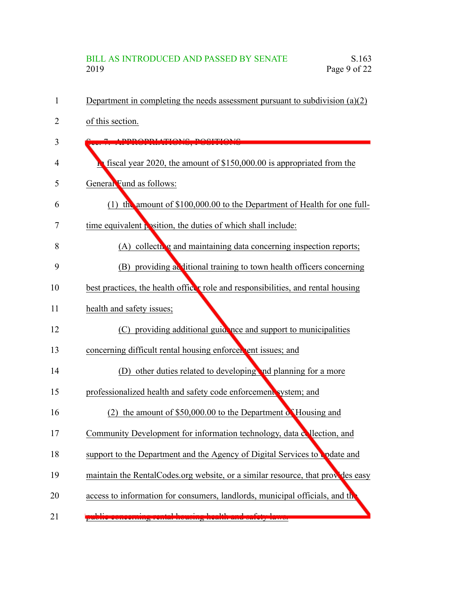# BILL AS INTRODUCED AND PASSED BY SENATE S.163<br>2019 Page 9 of 22 Page 9 of 22

| 1  | Department in completing the needs assessment pursuant to subdivision $(a)(2)$   |
|----|----------------------------------------------------------------------------------|
| 2  | of this section.                                                                 |
| 3  | A DDD ADDI ATIANG. DAGITI                                                        |
| 4  | fiscal year 2020, the amount of $$150,000.00$ is appropriated from the           |
| 5  | General Fund as follows:                                                         |
| 6  | (1) the amount of \$100,000.00 to the Department of Health for one full-         |
| 7  | time equivalent position, the duties of which shall include:                     |
| 8  | (A) collecting and maintaining data concerning inspection reports;               |
| 9  | (B) providing additional training to town health officers concerning             |
| 10 | best practices, the health officer role and responsibilities, and rental housing |
| 11 | health and safety issues;                                                        |
| 12 | (C) providing additional guidence and support to municipalities                  |
| 13 | concerning difficult rental housing enforcer ent issues; and                     |
| 14 | (D) other duties related to developing and planning for a more                   |
| 15 | professionalized health and safety code enforcement system; and                  |
| 16 | (2) the amount of $$50,000.00$ to the Department of Housing and                  |
| 17 | Community Development for information technology, data collection, and           |
| 18 | support to the Department and the Agency of Digital Services to codate and       |
| 19 | maintain the RentalCodes.org website, or a similar resource, that provides easy  |
| 20 | access to information for consumers, landlords, municipal officials, and the     |
| 21 |                                                                                  |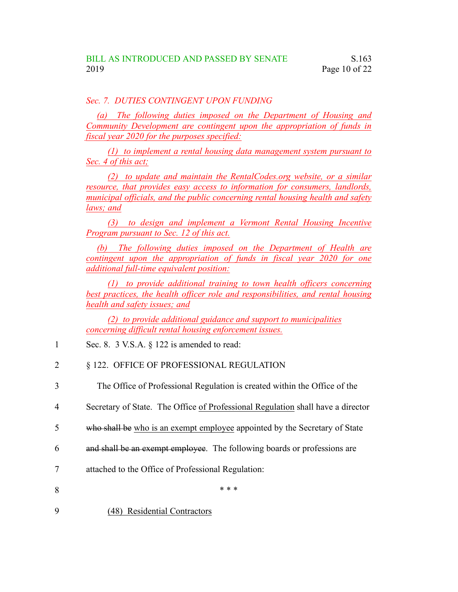#### *Sec. 7. DUTIES CONTINGENT UPON FUNDING*

*(a) The following duties imposed on the Department of Housing and Community Development are contingent upon the appropriation of funds in fiscal year 2020 for the purposes specified:*

*(1) to implement a rental housing data management system pursuant to Sec. 4 of this act;*

*(2) to update and maintain the RentalCodes.org website, or a similar resource, that provides easy access to information for consumers, landlords, municipal officials, and the public concerning rental housing health and safety laws; and*

*(3) to design and implement a Vermont Rental Housing Incentive Program pursuant to Sec. 12 of this act.*

*(b) The following duties imposed on the Department of Health are contingent upon the appropriation of funds in fiscal year 2020 for one additional full-time equivalent position:*

*(1) to provide additional training to town health officers concerning best practices, the health officer role and responsibilities, and rental housing health and safety issues; and*

*(2) to provide additional guidance and support to municipalities concerning difficult rental housing enforcement issues.*

- Sec. 8. 3 V.S.A. § 122 is amended to read: 1
- § 122. OFFICE OF PROFESSIONAL REGULATION 2
- The Office of Professional Regulation is created within the Office of the 3
- Secretary of State. The Office of Professional Regulation shall have a director 4
- who shall be who is an exempt employee appointed by the Secretary of State 5
- and shall be an exempt employee. The following boards or professions are 6
- attached to the Office of Professional Regulation: 7
- \* \* \* 8
- (48) Residential Contractors 9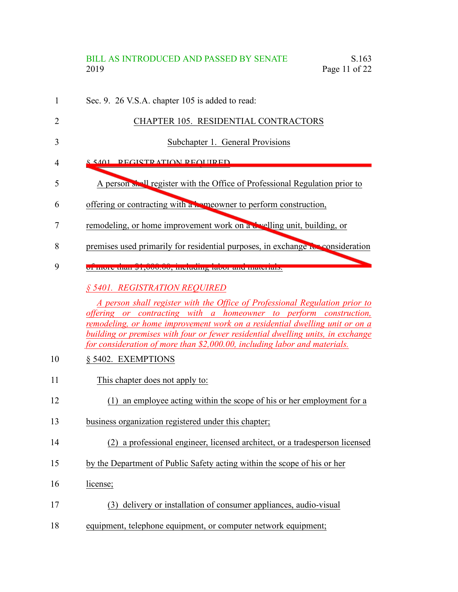#### BILL AS INTRODUCED AND PASSED BY SENATE S.163 2019 Page 11 of 22

- Sec. 9. 26 V.S.A. chapter 105 is added to read: 1
	- CHAPTER 105. RESIDENTIAL CONTRACTORS
		- Subchapter 1. General Provisions
- § 5401. REGISTRATION REQUIRED 4

2

3

- A person shall register with the Office of Professional Regulation prior to 5
- offering or contracting with a homeowner to perform construction, 6
- remodeling, or home improvement work on a dwelling unit, building, or 7
- premises used primarily for residential purposes, in exchange for consideration 8
- of more than \$1,000.00, including labor and materials. 9

#### *§ 5401. REGISTRATION REQUIRED*

*A person shall register with the Office of Professional Regulation prior to offering or contracting with a homeowner to perform construction, remodeling, or home improvement work on a residential dwelling unit or on a building or premises with four or fewer residential dwelling units, in exchange for consideration of more than \$2,000.00, including labor and materials.*

- § 5402. EXEMPTIONS 10
- This chapter does not apply to: 11
- (1) an employee acting within the scope of his or her employment for a 12
- business organization registered under this chapter; 13
- (2) a professional engineer, licensed architect, or a tradesperson licensed 14
- by the Department of Public Safety acting within the scope of his or her 15
- license; 16
- (3) delivery or installation of consumer appliances, audio-visual 17
- equipment, telephone equipment, or computer network equipment; 18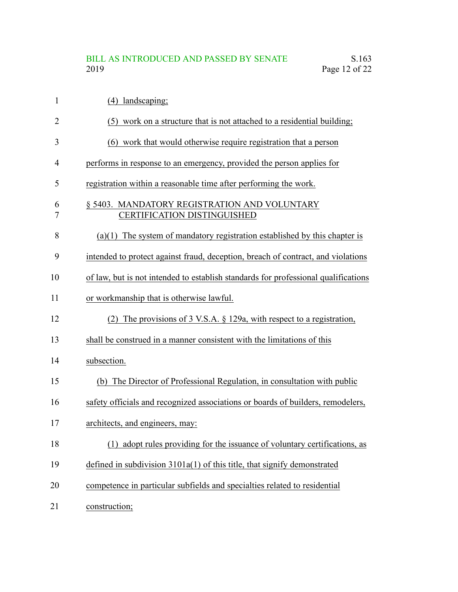# BILL AS INTRODUCED AND PASSED BY SENATE S.163<br>2019 Page 12 of 22 Page  $12$  of  $22$

| 1              | (4) landscaping;                                                                   |
|----------------|------------------------------------------------------------------------------------|
| $\overline{2}$ | (5) work on a structure that is not attached to a residential building;            |
| 3              | (6) work that would otherwise require registration that a person                   |
| 4              | performs in response to an emergency, provided the person applies for              |
| 5              | registration within a reasonable time after performing the work.                   |
| 6<br>7         | § 5403. MANDATORY REGISTRATION AND VOLUNTARY<br><b>CERTIFICATION DISTINGUISHED</b> |
| 8              | $(a)(1)$ The system of mandatory registration established by this chapter is       |
| 9              | intended to protect against fraud, deception, breach of contract, and violations   |
| 10             | of law, but is not intended to establish standards for professional qualifications |
| 11             | or workmanship that is otherwise lawful.                                           |
| 12             | The provisions of 3 V.S.A. $\S$ 129a, with respect to a registration,<br>(2)       |
| 13             | shall be construed in a manner consistent with the limitations of this             |
| 14             | subsection.                                                                        |
| 15             | (b) The Director of Professional Regulation, in consultation with public           |
| 16             | safety officials and recognized associations or boards of builders, remodelers,    |
| 17             | architects, and engineers, may:                                                    |
| 18             | (1) adopt rules providing for the issuance of voluntary certifications, as         |
| 19             | defined in subdivision $3101a(1)$ of this title, that signify demonstrated         |
| 20             | competence in particular subfields and specialties related to residential          |
| 21             | construction;                                                                      |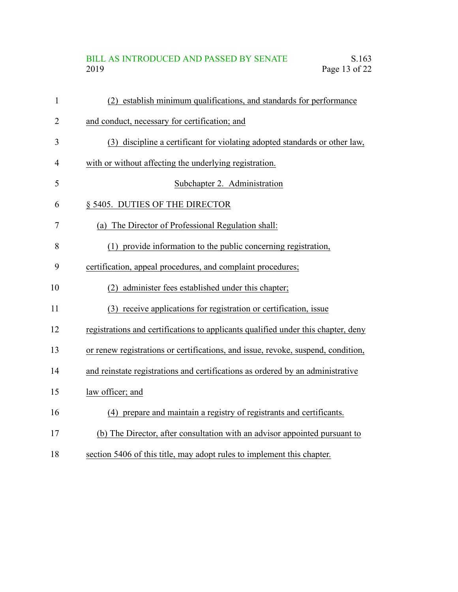## BILL AS INTRODUCED AND PASSED BY SENATE<br>2019 Page 13 of 22 Page 13 of 22

| $\mathbf{1}$   | (2) establish minimum qualifications, and standards for performance               |
|----------------|-----------------------------------------------------------------------------------|
| $\overline{2}$ | and conduct, necessary for certification; and                                     |
| 3              | (3) discipline a certificant for violating adopted standards or other law,        |
| 4              | with or without affecting the underlying registration.                            |
| 5              | Subchapter 2. Administration                                                      |
| 6              | § 5405. DUTIES OF THE DIRECTOR                                                    |
| 7              | (a) The Director of Professional Regulation shall:                                |
| 8              | (1) provide information to the public concerning registration,                    |
| 9              | certification, appeal procedures, and complaint procedures;                       |
| 10             | (2) administer fees established under this chapter;                               |
| 11             | (3) receive applications for registration or certification, issue                 |
| 12             | registrations and certifications to applicants qualified under this chapter, deny |
| 13             | or renew registrations or certifications, and issue, revoke, suspend, condition,  |
| 14             | and reinstate registrations and certifications as ordered by an administrative    |
| 15             | law officer; and                                                                  |
| 16             | (4) prepare and maintain a registry of registrants and certificants.              |
| 17             | (b) The Director, after consultation with an advisor appointed pursuant to        |
|                |                                                                                   |

section 5406 of this title, may adopt rules to implement this chapter. 18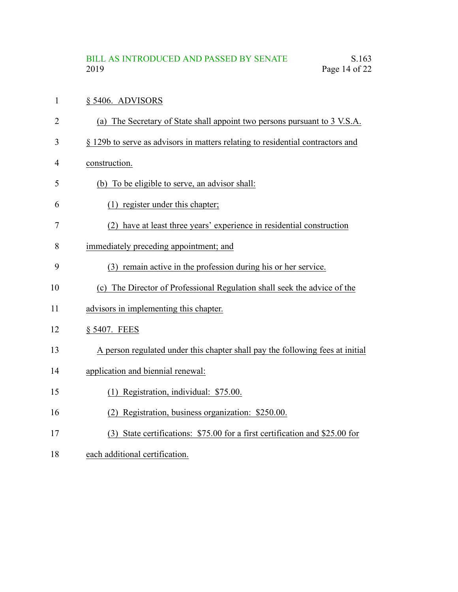#### § 5406. ADVISORS 1

- (a) The Secretary of State shall appoint two persons pursuant to 3 V.S.A. 2
- § 129b to serve as advisors in matters relating to residential contractors and 3
- construction. 4
- (b) To be eligible to serve, an advisor shall: 5
- (1) register under this chapter; 6
- (2) have at least three years' experience in residential construction 7
- immediately preceding appointment; and 8
- (3) remain active in the profession during his or her service. 9
- (c) The Director of Professional Regulation shall seek the advice of the 10
- advisors in implementing this chapter. 11
- § 5407. FEES 12
- A person regulated under this chapter shall pay the following fees at initial 13
- application and biennial renewal: 14
- (1) Registration, individual: \$75.00. 15
- (2) Registration, business organization: \$250.00. 16
- (3) State certifications: \$75.00 for a first certification and \$25.00 for 17
- each additional certification. 18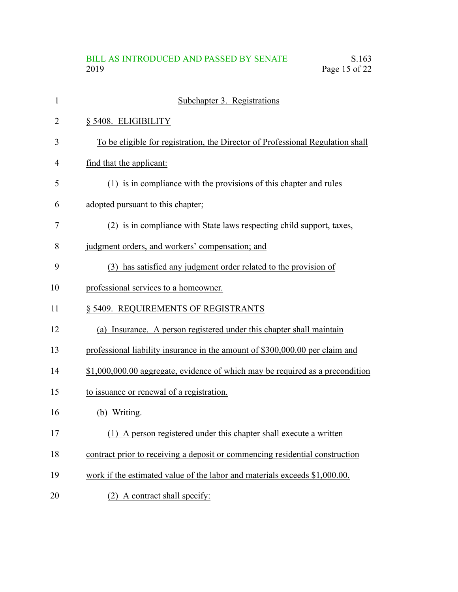# BILL AS INTRODUCED AND PASSED BY SENATE<br>2019 Page 15 of 22 Page 15 of 22

| $\mathbf{1}$ | Subchapter 3. Registrations                                                    |
|--------------|--------------------------------------------------------------------------------|
| 2            | § 5408. ELIGIBILITY                                                            |
| 3            | To be eligible for registration, the Director of Professional Regulation shall |
| 4            | find that the applicant:                                                       |
| 5            | (1) is in compliance with the provisions of this chapter and rules             |
| 6            | adopted pursuant to this chapter;                                              |
| 7            | (2) is in compliance with State laws respecting child support, taxes,          |
| 8            | judgment orders, and workers' compensation; and                                |
| 9            | (3) has satisfied any judgment order related to the provision of               |
| 10           | professional services to a homeowner.                                          |
| 11           | § 5409. REQUIREMENTS OF REGISTRANTS                                            |
| 12           | (a) Insurance. A person registered under this chapter shall maintain           |
| 13           | professional liability insurance in the amount of \$300,000.00 per claim and   |
| 14           | \$1,000,000.00 aggregate, evidence of which may be required as a precondition  |
| 15           | to issuance or renewal of a registration.                                      |
| 16           | (b) Writing.                                                                   |
| 17           | (1) A person registered under this chapter shall execute a written             |
| 18           | contract prior to receiving a deposit or commencing residential construction   |
| 19           | work if the estimated value of the labor and materials exceeds \$1,000.00.     |
| 20           | A contract shall specify:<br>(2)                                               |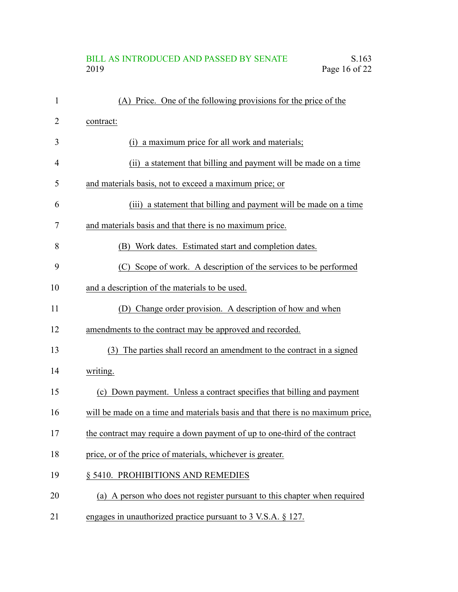# BILL AS INTRODUCED AND PASSED BY SENATE S.163<br>2019 Page 16 of 22 Page  $16$  of 22

| 1  | (A) Price. One of the following provisions for the price of the                |
|----|--------------------------------------------------------------------------------|
| 2  | contract:                                                                      |
| 3  | (i) a maximum price for all work and materials;                                |
| 4  | (ii) a statement that billing and payment will be made on a time               |
| 5  | and materials basis, not to exceed a maximum price; or                         |
| 6  | (iii) a statement that billing and payment will be made on a time              |
| 7  | and materials basis and that there is no maximum price.                        |
| 8  | Work dates. Estimated start and completion dates.<br>(B)                       |
| 9  | (C) Scope of work. A description of the services to be performed               |
| 10 | and a description of the materials to be used.                                 |
| 11 | (D) Change order provision. A description of how and when                      |
| 12 | amendments to the contract may be approved and recorded.                       |
| 13 | (3) The parties shall record an amendment to the contract in a signed          |
| 14 | writing.                                                                       |
| 15 | (c) Down payment. Unless a contract specifies that billing and payment         |
| 16 | will be made on a time and materials basis and that there is no maximum price, |
| 17 | the contract may require a down payment of up to one-third of the contract     |
| 18 | price, or of the price of materials, whichever is greater.                     |
| 19 | § 5410. PROHIBITIONS AND REMEDIES                                              |
| 20 | (a) A person who does not register pursuant to this chapter when required      |
| 21 | engages in unauthorized practice pursuant to 3 V.S.A. § 127.                   |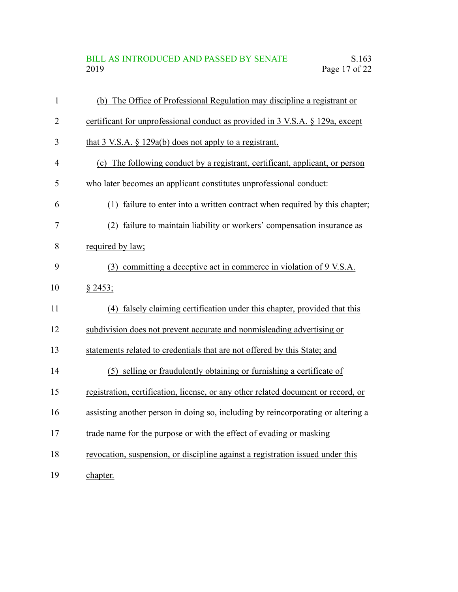# BILL AS INTRODUCED AND PASSED BY SENATE S.163<br>2019 Page 17 of 22 Page  $17$  of  $22$

| $\mathbf{1}$   | (b) The Office of Professional Regulation may discipline a registrant or          |
|----------------|-----------------------------------------------------------------------------------|
| $\overline{2}$ | certificant for unprofessional conduct as provided in 3 V.S.A. § 129a, except     |
| 3              | that $3$ V.S.A. $\S$ 129a(b) does not apply to a registrant.                      |
| $\overline{4}$ | (c) The following conduct by a registrant, certificant, applicant, or person      |
| 5              | who later becomes an applicant constitutes unprofessional conduct:                |
| 6              | failure to enter into a written contract when required by this chapter;<br>(1)    |
| 7              | failure to maintain liability or workers' compensation insurance as<br>(2)        |
| 8              | required by law;                                                                  |
| 9              | committing a deceptive act in commerce in violation of 9 V.S.A.<br>(3)            |
| 10             | § 2453;                                                                           |
| 11             | falsely claiming certification under this chapter, provided that this<br>(4)      |
| 12             | subdivision does not prevent accurate and nonmisleading advertising or            |
| 13             | statements related to credentials that are not offered by this State; and         |
| 14             | (5) selling or fraudulently obtaining or furnishing a certificate of              |
| 15             | registration, certification, license, or any other related document or record, or |
| 16             | assisting another person in doing so, including by reincorporating or altering a  |
| 17             | trade name for the purpose or with the effect of evading or masking               |
| 18             | revocation, suspension, or discipline against a registration issued under this    |
| 19             | chapter.                                                                          |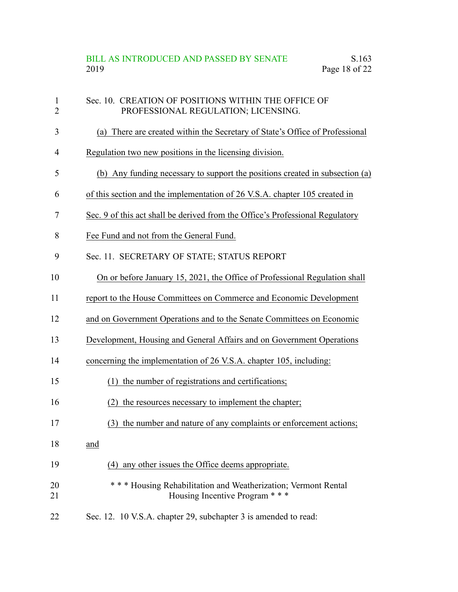# BILL AS INTRODUCED AND PASSED BY SENATE S.163<br>2019 Page 18 of 22 Page  $18$  of  $22$

| $\mathbf{1}$<br>$\overline{2}$ | Sec. 10. CREATION OF POSITIONS WITHIN THE OFFICE OF<br>PROFESSIONAL REGULATION; LICENSING.         |
|--------------------------------|----------------------------------------------------------------------------------------------------|
| 3                              | (a) There are created within the Secretary of State's Office of Professional                       |
| $\overline{4}$                 | Regulation two new positions in the licensing division.                                            |
| 5                              | (b) Any funding necessary to support the positions created in subsection (a)                       |
| 6                              | of this section and the implementation of 26 V.S.A. chapter 105 created in                         |
| 7                              | Sec. 9 of this act shall be derived from the Office's Professional Regulatory                      |
| 8                              | Fee Fund and not from the General Fund.                                                            |
| 9                              | Sec. 11. SECRETARY OF STATE; STATUS REPORT                                                         |
| 10                             | On or before January 15, 2021, the Office of Professional Regulation shall                         |
| 11                             | report to the House Committees on Commerce and Economic Development                                |
| 12                             | and on Government Operations and to the Senate Committees on Economic                              |
| 13                             | Development, Housing and General Affairs and on Government Operations                              |
| 14                             | concerning the implementation of 26 V.S.A. chapter 105, including:                                 |
| 15                             | (1) the number of registrations and certifications;                                                |
| 16                             | the resources necessary to implement the chapter;<br>(2)                                           |
| 17                             | (3) the number and nature of any complaints or enforcement actions;                                |
| 18                             | and                                                                                                |
| 19                             | (4) any other issues the Office deems appropriate.                                                 |
| 20<br>21                       | * * * Housing Rehabilitation and Weatherization; Vermont Rental<br>Housing Incentive Program * * * |
| 22                             | Sec. 12. 10 V.S.A. chapter 29, subchapter 3 is amended to read:                                    |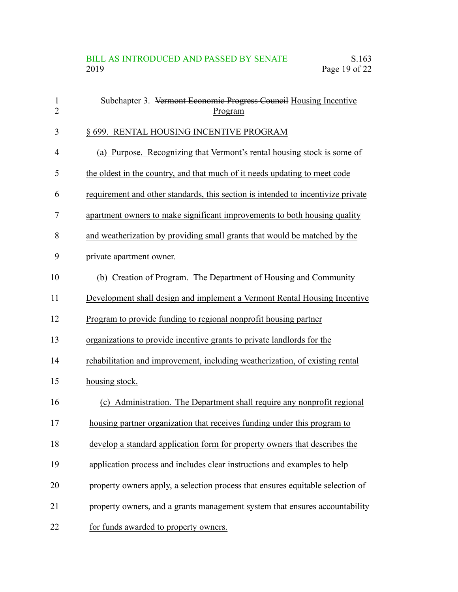| $\mathbf{1}$<br>$\overline{2}$ | Subchapter 3. Vermont Economic Progress Council Housing Incentive<br>Program     |
|--------------------------------|----------------------------------------------------------------------------------|
| 3                              | § 699. RENTAL HOUSING INCENTIVE PROGRAM                                          |
| 4                              | (a) Purpose. Recognizing that Vermont's rental housing stock is some of          |
| 5                              | the oldest in the country, and that much of it needs updating to meet code       |
| 6                              | requirement and other standards, this section is intended to incentivize private |
| 7                              | apartment owners to make significant improvements to both housing quality        |
| 8                              | and weatherization by providing small grants that would be matched by the        |
| 9                              | private apartment owner.                                                         |
| 10                             | (b) Creation of Program. The Department of Housing and Community                 |
| 11                             | Development shall design and implement a Vermont Rental Housing Incentive        |
| 12                             | Program to provide funding to regional nonprofit housing partner                 |
| 13                             | organizations to provide incentive grants to private landlords for the           |
| 14                             | rehabilitation and improvement, including weatherization, of existing rental     |
| 15                             | housing stock.                                                                   |
| 16                             | (c) Administration. The Department shall require any nonprofit regional          |
| 17                             | housing partner organization that receives funding under this program to         |
| 18                             | develop a standard application form for property owners that describes the       |
| 19                             | application process and includes clear instructions and examples to help         |
| 20                             | property owners apply, a selection process that ensures equitable selection of   |
| 21                             | property owners, and a grants management system that ensures accountability      |
| 22                             | for funds awarded to property owners.                                            |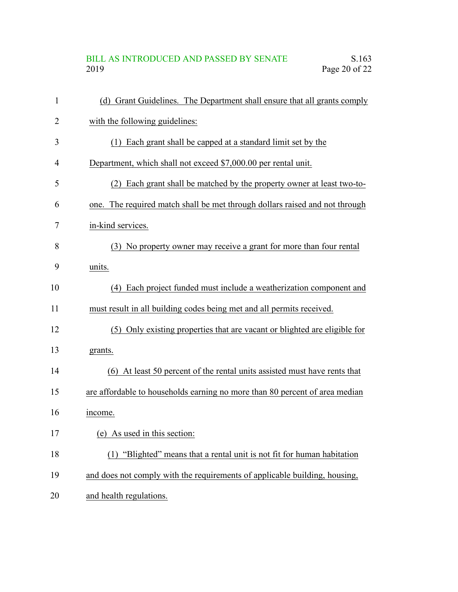# BILL AS INTRODUCED AND PASSED BY SENATE S.163<br>2019 Page 20 of 22 Page  $20$  of  $22$

| $\mathbf{1}$   | (d) Grant Guidelines. The Department shall ensure that all grants comply    |
|----------------|-----------------------------------------------------------------------------|
| $\overline{2}$ | with the following guidelines:                                              |
| 3              | (1) Each grant shall be capped at a standard limit set by the               |
| 4              | Department, which shall not exceed \$7,000.00 per rental unit.              |
| 5              | Each grant shall be matched by the property owner at least two-to-<br>(2)   |
| 6              | one. The required match shall be met through dollars raised and not through |
| 7              | in-kind services.                                                           |
| 8              | (3) No property owner may receive a grant for more than four rental         |
| 9              | units.                                                                      |
| 10             | (4) Each project funded must include a weatherization component and         |
| 11             | must result in all building codes being met and all permits received.       |
| 12             | (5) Only existing properties that are vacant or blighted are eligible for   |
| 13             | grants.                                                                     |
| 14             | (6) At least 50 percent of the rental units assisted must have rents that   |
| 15             | are affordable to households earning no more than 80 percent of area median |
| 16             | income.                                                                     |
| 17             | (e) As used in this section:                                                |
| 18             | (1) "Blighted" means that a rental unit is not fit for human habitation     |
| 19             | and does not comply with the requirements of applicable building, housing,  |
| 20             | and health regulations.                                                     |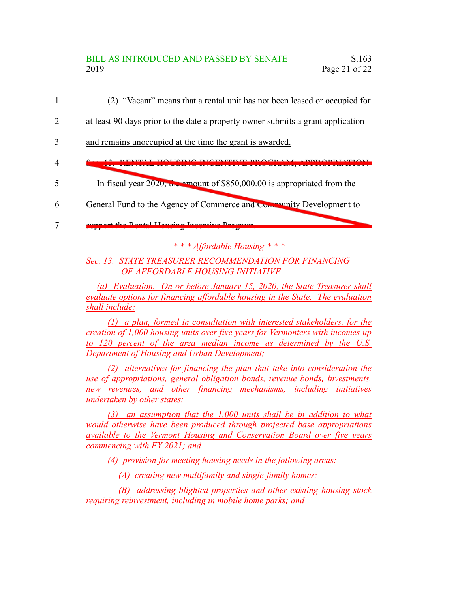#### BILL AS INTRODUCED AND PASSED BY SENATE S.163 2019 Page 21 of 22

- (2) "Vacant" means that a rental unit has not been leased or occupied for 1
- at least 90 days prior to the date a property owner submits a grant application 2
- and remains unoccupied at the time the grant is awarded. 3
- Sec. 13. RENTAL HOUSING INCENTIVE PROGRAM; APPROPRIATION 4
- In fiscal year 2020, the amount of \$850,000.00 is appropriated from the 5
- General Fund to the Agency of Commerce and Community Development to 6

support the Rental Housing Incentive Program. 7

*\* \* \* Affordable Housing \* \* \**

#### *Sec. 13. STATE TREASURER RECOMMENDATION FOR FINANCING OF AFFORDABLE HOUSING INITIATIVE*

*(a) Evaluation. On or before January 15, 2020, the State Treasurer shall evaluate options for financing affordable housing in the State. The evaluation shall include:*

*(1) a plan, formed in consultation with interested stakeholders, for the creation of 1,000 housing units over five years for Vermonters with incomes up to 120 percent of the area median income as determined by the U.S. Department of Housing and Urban Development;*

*(2) alternatives for financing the plan that take into consideration the use of appropriations, general obligation bonds, revenue bonds, investments, new revenues, and other financing mechanisms, including initiatives undertaken by other states;*

*(3) an assumption that the 1,000 units shall be in addition to what would otherwise have been produced through projected base appropriations available to the Vermont Housing and Conservation Board over five years commencing with FY 2021; and*

*(4) provision for meeting housing needs in the following areas:*

*(A) creating new multifamily and single-family homes;*

*(B) addressing blighted properties and other existing housing stock requiring reinvestment, including in mobile home parks; and*